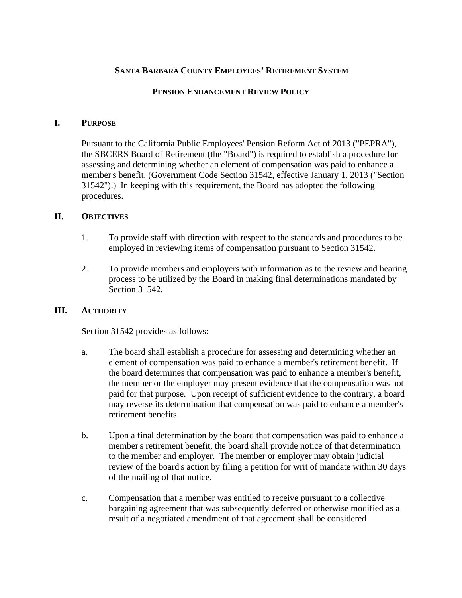## **SANTA BARBARA COUNTY EMPLOYEES' RETIREMENT SYSTEM**

#### **PENSION ENHANCEMENT REVIEW POLICY**

#### **I. PURPOSE**

Pursuant to the California Public Employees' Pension Reform Act of 2013 ("PEPRA"), the SBCERS Board of Retirement (the "Board") is required to establish a procedure for assessing and determining whether an element of compensation was paid to enhance a member's benefit. (Government Code Section 31542, effective January 1, 2013 ("Section 31542").) In keeping with this requirement, the Board has adopted the following procedures.

#### **II. OBJECTIVES**

- 1. To provide staff with direction with respect to the standards and procedures to be employed in reviewing items of compensation pursuant to Section 31542.
- 2. To provide members and employers with information as to the review and hearing process to be utilized by the Board in making final determinations mandated by Section 31542.

#### **III. AUTHORITY**

Section 31542 provides as follows:

- a. The board shall establish a procedure for assessing and determining whether an element of compensation was paid to enhance a member's retirement benefit. If the board determines that compensation was paid to enhance a member's benefit, the member or the employer may present evidence that the compensation was not paid for that purpose. Upon receipt of sufficient evidence to the contrary, a board may reverse its determination that compensation was paid to enhance a member's retirement benefits.
- b. Upon a final determination by the board that compensation was paid to enhance a member's retirement benefit, the board shall provide notice of that determination to the member and employer. The member or employer may obtain judicial review of the board's action by filing a petition for writ of mandate within 30 days of the mailing of that notice.
- c. Compensation that a member was entitled to receive pursuant to a collective bargaining agreement that was subsequently deferred or otherwise modified as a result of a negotiated amendment of that agreement shall be considered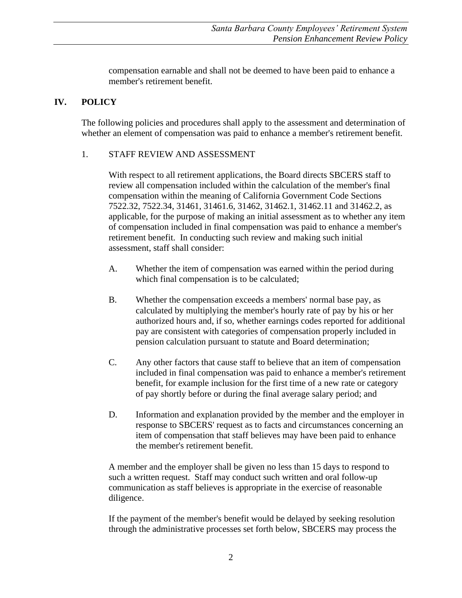compensation earnable and shall not be deemed to have been paid to enhance a member's retirement benefit.

# **IV. POLICY**

The following policies and procedures shall apply to the assessment and determination of whether an element of compensation was paid to enhance a member's retirement benefit.

### 1. STAFF REVIEW AND ASSESSMENT

With respect to all retirement applications, the Board directs SBCERS staff to review all compensation included within the calculation of the member's final compensation within the meaning of California Government Code Sections 7522.32, 7522.34, 31461, 31461.6, 31462, 31462.1, 31462.11 and 31462.2, as applicable, for the purpose of making an initial assessment as to whether any item of compensation included in final compensation was paid to enhance a member's retirement benefit. In conducting such review and making such initial assessment, staff shall consider:

- A. Whether the item of compensation was earned within the period during which final compensation is to be calculated;
- B. Whether the compensation exceeds a members' normal base pay, as calculated by multiplying the member's hourly rate of pay by his or her authorized hours and, if so, whether earnings codes reported for additional pay are consistent with categories of compensation properly included in pension calculation pursuant to statute and Board determination;
- C. Any other factors that cause staff to believe that an item of compensation included in final compensation was paid to enhance a member's retirement benefit, for example inclusion for the first time of a new rate or category of pay shortly before or during the final average salary period; and
- D. Information and explanation provided by the member and the employer in response to SBCERS' request as to facts and circumstances concerning an item of compensation that staff believes may have been paid to enhance the member's retirement benefit.

A member and the employer shall be given no less than 15 days to respond to such a written request. Staff may conduct such written and oral follow-up communication as staff believes is appropriate in the exercise of reasonable diligence.

If the payment of the member's benefit would be delayed by seeking resolution through the administrative processes set forth below, SBCERS may process the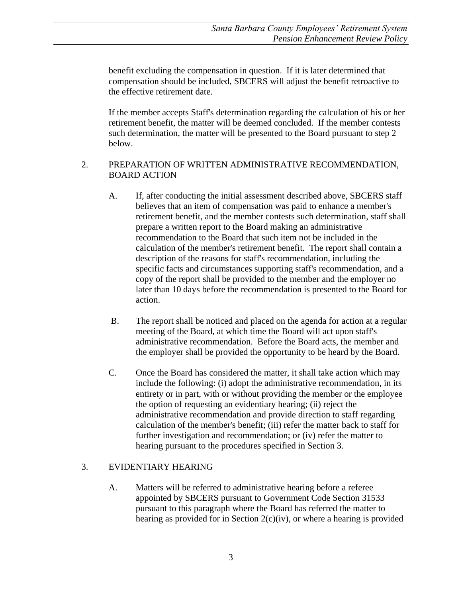benefit excluding the compensation in question. If it is later determined that compensation should be included, SBCERS will adjust the benefit retroactive to the effective retirement date.

If the member accepts Staff's determination regarding the calculation of his or her retirement benefit, the matter will be deemed concluded. If the member contests such determination, the matter will be presented to the Board pursuant to step 2 below.

## 2. PREPARATION OF WRITTEN ADMINISTRATIVE RECOMMENDATION, BOARD ACTION

- A. If, after conducting the initial assessment described above, SBCERS staff believes that an item of compensation was paid to enhance a member's retirement benefit, and the member contests such determination, staff shall prepare a written report to the Board making an administrative recommendation to the Board that such item not be included in the calculation of the member's retirement benefit. The report shall contain a description of the reasons for staff's recommendation, including the specific facts and circumstances supporting staff's recommendation, and a copy of the report shall be provided to the member and the employer no later than 10 days before the recommendation is presented to the Board for action.
- B. The report shall be noticed and placed on the agenda for action at a regular meeting of the Board, at which time the Board will act upon staff's administrative recommendation. Before the Board acts, the member and the employer shall be provided the opportunity to be heard by the Board.
- C. Once the Board has considered the matter, it shall take action which may include the following: (i) adopt the administrative recommendation, in its entirety or in part, with or without providing the member or the employee the option of requesting an evidentiary hearing; (ii) reject the administrative recommendation and provide direction to staff regarding calculation of the member's benefit; (iii) refer the matter back to staff for further investigation and recommendation; or (iv) refer the matter to hearing pursuant to the procedures specified in Section 3.

## 3. EVIDENTIARY HEARING

A. Matters will be referred to administrative hearing before a referee appointed by SBCERS pursuant to Government Code Section 31533 pursuant to this paragraph where the Board has referred the matter to hearing as provided for in Section 2(c)(iv), or where a hearing is provided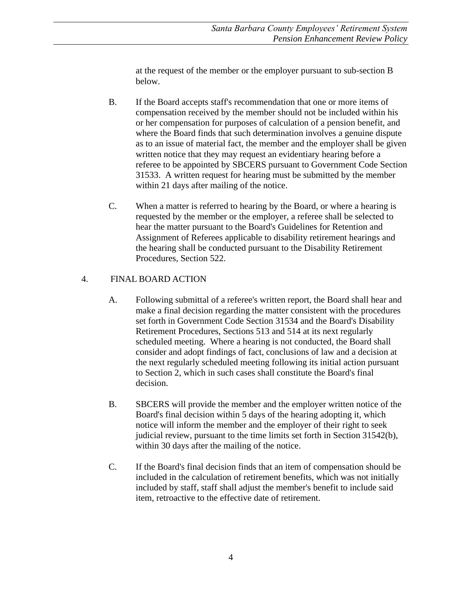at the request of the member or the employer pursuant to sub-section B below.

- B. If the Board accepts staff's recommendation that one or more items of compensation received by the member should not be included within his or her compensation for purposes of calculation of a pension benefit, and where the Board finds that such determination involves a genuine dispute as to an issue of material fact, the member and the employer shall be given written notice that they may request an evidentiary hearing before a referee to be appointed by SBCERS pursuant to Government Code Section 31533. A written request for hearing must be submitted by the member within 21 days after mailing of the notice.
- C. When a matter is referred to hearing by the Board, or where a hearing is requested by the member or the employer, a referee shall be selected to hear the matter pursuant to the Board's Guidelines for Retention and Assignment of Referees applicable to disability retirement hearings and the hearing shall be conducted pursuant to the Disability Retirement Procedures, Section 522.

# 4. FINAL BOARD ACTION

- A. Following submittal of a referee's written report, the Board shall hear and make a final decision regarding the matter consistent with the procedures set forth in Government Code Section 31534 and the Board's Disability Retirement Procedures, Sections 513 and 514 at its next regularly scheduled meeting. Where a hearing is not conducted, the Board shall consider and adopt findings of fact, conclusions of law and a decision at the next regularly scheduled meeting following its initial action pursuant to Section 2, which in such cases shall constitute the Board's final decision.
- B. SBCERS will provide the member and the employer written notice of the Board's final decision within 5 days of the hearing adopting it, which notice will inform the member and the employer of their right to seek judicial review, pursuant to the time limits set forth in Section 31542(b), within 30 days after the mailing of the notice.
- C. If the Board's final decision finds that an item of compensation should be included in the calculation of retirement benefits, which was not initially included by staff, staff shall adjust the member's benefit to include said item, retroactive to the effective date of retirement.